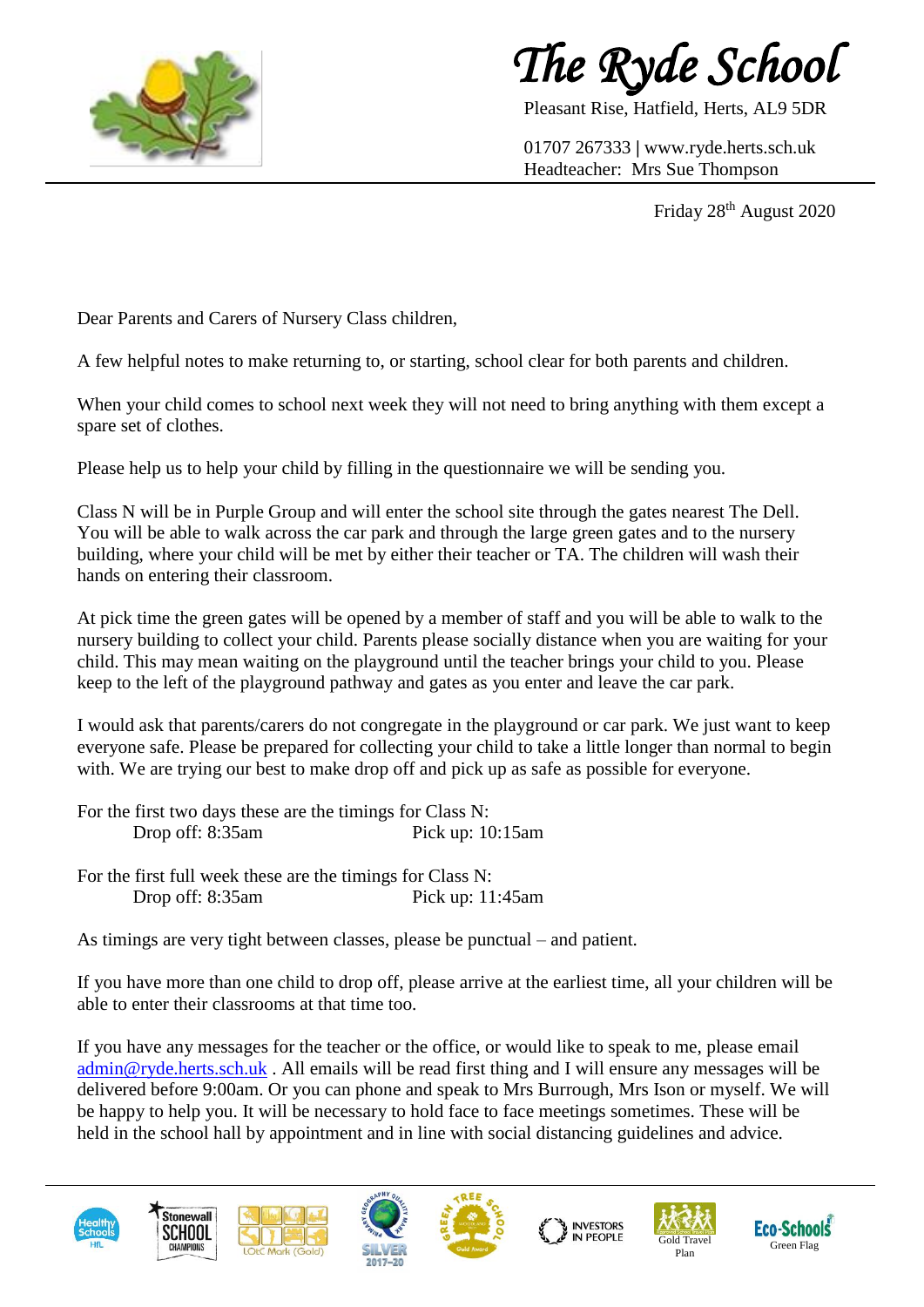



Pleasant Rise, Hatfield, Herts, AL9 5DR

01707 267333 **|** www.ryde.herts.sch.uk Headteacher: Mrs Sue Thompson

Friday 28<sup>th</sup> August 2020

Dear Parents and Carers of Nursery Class children,

A few helpful notes to make returning to, or starting, school clear for both parents and children.

When your child comes to school next week they will not need to bring anything with them except a spare set of clothes.

Please help us to help your child by filling in the questionnaire we will be sending you.

Class N will be in Purple Group and will enter the school site through the gates nearest The Dell. You will be able to walk across the car park and through the large green gates and to the nursery building, where your child will be met by either their teacher or TA. The children will wash their hands on entering their classroom.

At pick time the green gates will be opened by a member of staff and you will be able to walk to the nursery building to collect your child. Parents please socially distance when you are waiting for your child. This may mean waiting on the playground until the teacher brings your child to you. Please keep to the left of the playground pathway and gates as you enter and leave the car park.

I would ask that parents/carers do not congregate in the playground or car park. We just want to keep everyone safe. Please be prepared for collecting your child to take a little longer than normal to begin with. We are trying our best to make drop off and pick up as safe as possible for everyone.

For the first two days these are the timings for Class N: Drop off: 8:35am Pick up: 10:15am

For the first full week these are the timings for Class N: Drop off: 8:35am Pick up: 11:45am

As timings are very tight between classes, please be punctual – and patient.

If you have more than one child to drop off, please arrive at the earliest time, all your children will be able to enter their classrooms at that time too.

If you have any messages for the teacher or the office, or would like to speak to me, please email [admin@ryde.herts.sch.uk](mailto:admin@ryde.herts.sch.uk) . All emails will be read first thing and I will ensure any messages will be delivered before 9:00am. Or you can phone and speak to Mrs Burrough, Mrs Ison or myself. We will be happy to help you. It will be necessary to hold face to face meetings sometimes. These will be held in the school hall by appointment and in line with social distancing guidelines and advice.